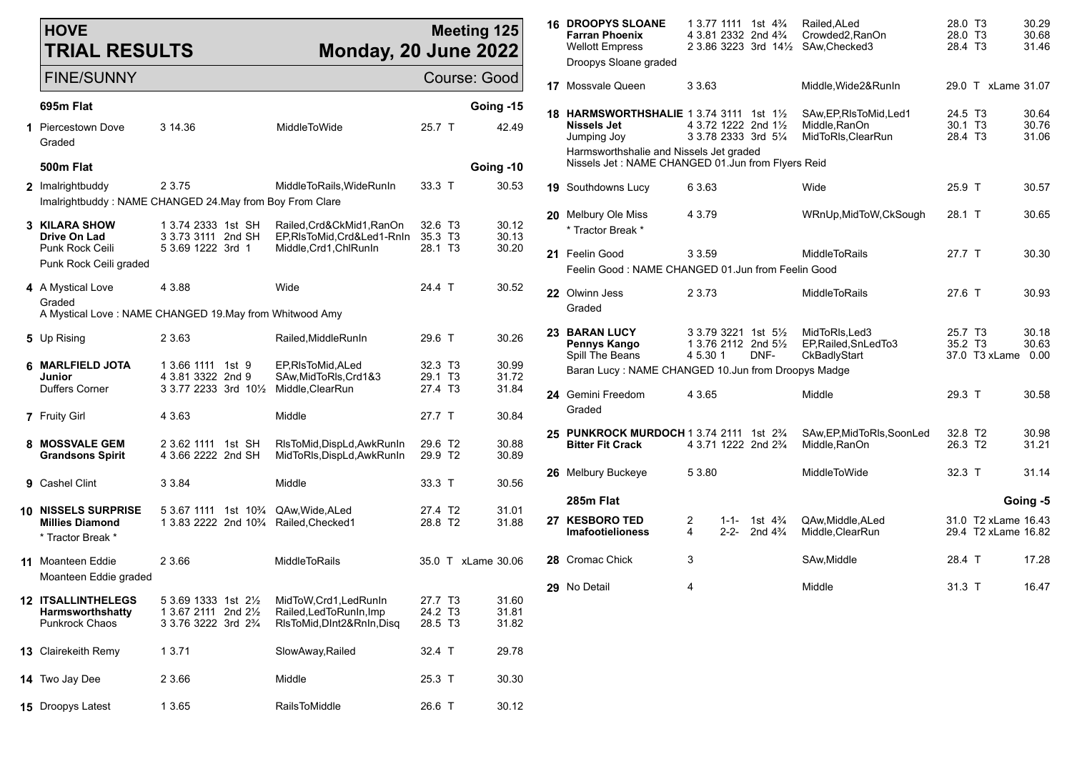| <b>HOVE</b><br><b>TRIAL RESULTS</b>                                                              |                                                                                                                       | <b>Monday, 20 June 2022</b>                                                     |                               | <b>Meeting 125</b>              |    | <b>16 DROOPYS SLOANE</b><br><b>Farran Phoenix</b><br><b>Wellott Empress</b><br>Droopys Sloane graded                                                                          | $13.77$ 1111 1st 4 <sup>3</sup> / <sub>4</sub><br>4 3.81 2332 2nd 4 <sup>3</sup> / <sub>4</sub><br>2 3.86 3223 3rd 141/2 SAw, Checked 3 | Railed, ALed<br>Crowded2, RanOn                                | 28.0 T3<br>28.0 T3<br>28.4 T3 | 30.29<br>30.68<br>31.46                    |
|--------------------------------------------------------------------------------------------------|-----------------------------------------------------------------------------------------------------------------------|---------------------------------------------------------------------------------|-------------------------------|---------------------------------|----|-------------------------------------------------------------------------------------------------------------------------------------------------------------------------------|-----------------------------------------------------------------------------------------------------------------------------------------|----------------------------------------------------------------|-------------------------------|--------------------------------------------|
| <b>FINE/SUNNY</b>                                                                                |                                                                                                                       |                                                                                 |                               | Course: Good                    |    | <b>17</b> Mossvale Queen                                                                                                                                                      | 3 3 6 3                                                                                                                                 | Middle, Wide 2& RunIn                                          |                               | 29.0 T xLame 31.07                         |
| 695m Flat<br>1 Piercestown Dove<br>Graded<br>500m Flat                                           | 3 14.36                                                                                                               | MiddleToWide                                                                    | 25.7 T                        | Going -15<br>42.49<br>Going -10 |    | 18 HARMSWORTHSHALIE 1 3.74 3111 1st 11/2<br><b>Nissels Jet</b><br>Jumping Joy<br>Harmsworthshalie and Nissels Jet graded<br>Nissels Jet: NAME CHANGED 01.Jun from Flyers Reid | 4 3.72 1222 2nd 11/2<br>3 3 78 2333 3rd 51/4                                                                                            | SAw, EP, RIsToMid, Led1<br>Middle, RanOn<br>MidToRIs, ClearRun | 24.5 T3<br>30.1 T3<br>28.4 T3 | 30.64<br>30.76<br>31.06                    |
| 2 Imalrightbuddy                                                                                 | 2 3.75                                                                                                                | MiddleToRails, WideRunIn                                                        | 33.3 T                        | 30.53                           |    | 19 Southdowns Lucy                                                                                                                                                            | 6 3.63                                                                                                                                  | Wide                                                           | 25.9 T                        | 30.57                                      |
| Imalrightbuddy: NAME CHANGED 24. May from Boy From Clare<br>3 KILARA SHOW<br><b>Drive On Lad</b> | 1 3.74 2333 1st SH<br>3 3.73 3111 2nd SH                                                                              | Railed, Crd&CkMid1, RanOn<br>EP,RIsToMid,Crd&Led1-RnIn 35.3 T3                  | 32.6 T <sub>3</sub>           | 30.12<br>30.13                  |    | 20 Melbury Ole Miss<br>* Tractor Break *                                                                                                                                      | 4 3.79                                                                                                                                  | WRnUp, MidToW, CkSough                                         | 28.1 T                        | 30.65                                      |
| Punk Rock Ceili<br>Punk Rock Ceili graded                                                        | 5 3.69 1222 3rd 1                                                                                                     | Middle, Crd1, ChlRunIn                                                          | 28.1 T <sub>3</sub>           | 30.20                           |    | 21 Feelin Good<br>Feelin Good: NAME CHANGED 01.Jun from Feelin Good                                                                                                           | 3 3.59                                                                                                                                  | <b>MiddleToRails</b>                                           | 27.7 T                        | 30.30                                      |
| 4 A Mystical Love<br>Graded<br>A Mystical Love: NAME CHANGED 19. May from Whitwood Amy           | 4 3.88                                                                                                                | Wide                                                                            | 24.4 T                        | 30.52                           |    | 22 Olwinn Jess<br>Graded                                                                                                                                                      | 2 3 7 3                                                                                                                                 | <b>MiddleToRails</b>                                           | 27.6 T                        | 30.93                                      |
| 5 Up Rising                                                                                      | 2 3.63                                                                                                                | Railed, MiddleRunIn                                                             | 29.6 T                        | 30.26                           | 23 | <b>BARAN LUCY</b><br>Pennys Kango                                                                                                                                             | 3 3.79 3221 1st 5½<br>1 3.76 2112 2nd 51/2<br>4 5.30 1                                                                                  | MidToRIs, Led3<br>EP, Railed, SnLed To 3                       | 25.7 T3<br>35.2 T3            | 30.18<br>30.63<br>37.0 T3 xLame 0.00       |
| 6 MARLFIELD JOTA<br>Junior                                                                       | 1 3.66 1111 1st 9<br>4 3.81 3322 2nd 9                                                                                | EP, RIsToMid, ALed<br>SAw, MidToRIs, Crd1&3                                     | 32.3 T3<br>29.1 T3            | 30.99<br>31.72                  |    | Spill The Beans<br>Baran Lucy: NAME CHANGED 10.Jun from Droopys Madge                                                                                                         | DNF-                                                                                                                                    | CkBadlyStart                                                   |                               |                                            |
| Duffers Corner<br>7 Fruity Girl                                                                  | 3 3.77 2233 3rd 101/2<br>4 3.63                                                                                       | Middle,ClearRun<br>Middle                                                       | 27.4 T3<br>27.7 T             | 31.84<br>30.84                  |    | 24 Gemini Freedom<br>Graded                                                                                                                                                   | 4 3.65                                                                                                                                  | Middle                                                         | 29.3 T                        | 30.58                                      |
| 8 MOSSVALE GEM<br><b>Grandsons Spirit</b>                                                        | 2 3.62 1111 1st SH<br>4 3.66 2222 2nd SH                                                                              | RIsToMid, DispLd, AwkRunIn<br>MidToRIs, DispLd, AwkRunIn                        | 29.6 T2<br>29.9 T2            | 30.88<br>30.89                  |    | 25 PUNKROCK MURDOCH 1 3.74 2111 1st 23/4<br><b>Bitter Fit Crack</b>                                                                                                           | 4 3.71 1222 2nd 23/4                                                                                                                    | SAw, EP, MidToRIs, SoonLed<br>Middle, RanOn                    | 32.8 T2<br>26.3 T2            | 30.98<br>31.21                             |
| 9 Cashel Clint                                                                                   | 3 3.84                                                                                                                | Middle                                                                          | 33.3 T                        | 30.56                           |    | 26 Melbury Buckeye                                                                                                                                                            | 5 3.80                                                                                                                                  | MiddleToWide                                                   | 32.3 T                        | 31.14                                      |
| <b>10 NISSELS SURPRISE</b>                                                                       | 5 3.67 1111 1st 10 <sup>3</sup> /4 QAw, Wide, ALed                                                                    |                                                                                 | 27.4 T2                       | 31.01                           |    | 285m Flat                                                                                                                                                                     |                                                                                                                                         |                                                                |                               | Going -5                                   |
| <b>Millies Diamond</b><br>* Tractor Break *                                                      | 1 3.83 2222 2nd 10 <sup>3</sup> /4 Railed, Checked 1                                                                  |                                                                                 | 28.8 T2                       | 31.88                           |    | 27 KESBORO TED<br><b>Imafootielioness</b>                                                                                                                                     | $\overline{2}$<br>1st 4¾<br>$1 - 1 -$<br>$\overline{4}$<br>2-2- 2nd $4\frac{3}{4}$                                                      | QAw, Middle, ALed<br>Middle, ClearRun                          |                               | 31.0 T2 xLame 16.43<br>29.4 T2 xLame 16.82 |
| <b>11</b> Moanteen Eddie<br>Moanteen Eddie graded                                                | 2 3.66                                                                                                                | MiddleToRails                                                                   |                               | 35.0 T xLame 30.06              |    | 28 Cromac Chick                                                                                                                                                               | 3                                                                                                                                       | SAw, Middle                                                    | 28.4 T                        | 17.28                                      |
| <b>12 ITSALLINTHELEGS</b><br>Harmsworthshatty<br>Punkrock Chaos                                  | 5 3.69 1333 1st 21/ <sub>2</sub><br>1 3.67 2111 2nd 21/ <sub>2</sub><br>3 3.76 3222 3rd 2 <sup>3</sup> / <sub>4</sub> | MidToW,Crd1,LedRunIn<br>Railed, Led To RunIn, Imp<br>RIsToMid, DInt2&RnIn, Disq | 27.7 T3<br>24.2 T3<br>28.5 T3 | 31.60<br>31.81<br>31.82         |    | 29 No Detail                                                                                                                                                                  |                                                                                                                                         | Middle                                                         | 31.3 T                        | 16.47                                      |
| 13 Clairekeith Remy                                                                              | 1 3.71                                                                                                                | SlowAway, Railed                                                                | 32.4 T                        | 29.78                           |    |                                                                                                                                                                               |                                                                                                                                         |                                                                |                               |                                            |
| 14 Two Jay Dee                                                                                   | 2 3.66                                                                                                                | Middle                                                                          | 25.3 T                        | 30.30                           |    |                                                                                                                                                                               |                                                                                                                                         |                                                                |                               |                                            |
| <b>15</b> Droopys Latest                                                                         | 1 3.65                                                                                                                | RailsToMiddle                                                                   | 26.6 T                        | 30.12                           |    |                                                                                                                                                                               |                                                                                                                                         |                                                                |                               |                                            |